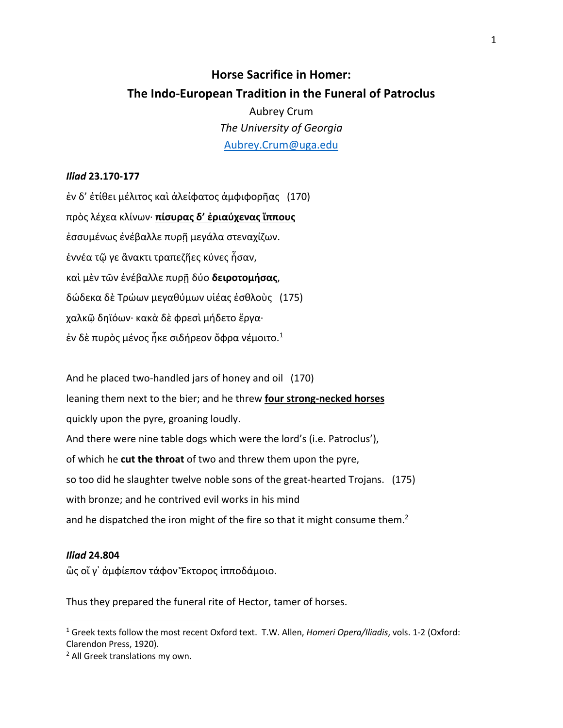# **Horse Sacrifice in Homer: The Indo-European Tradition in the Funeral of Patroclus**

Aubrey Crum *The University of Georgia* Aubrey.Crum@uga.edu

## *Iliad* **23.170-177**

ἐν δ' ἐτίθει μέλιτος καὶ ἀλείφατος ἀμφιφορῆας (170) πρὸς λέχεα κλίνων· **πίσυρας δ' ἐριαύχενας ἵππους** ἐσσυμένως ἐνέβαλλε πυρῇ μεγάλα στεναχίζων. ἐννέα τῷ γε ἄνακτι τραπεζῆες κύνες ἦσαν, καὶ μὲν τῶν ἐνέβαλλε πυρῇ δύο **δειροτομήσας**, δώδεκα δὲ Τρώων μεγαθύμων υἱέας ἐσθλοὺς (175) χαλκῷ δηϊόων· κακὰ δὲ φρεσὶ μήδετο ἔργα· έν δὲ πυρὸς μένος ἦκε σιδήρεον ὄφρα νέμοιτο. $^1$ 

And he placed two-handled jars of honey and oil (170) leaning them next to the bier; and he threw **four strong-necked horses** quickly upon the pyre, groaning loudly. And there were nine table dogs which were the lord's (i.e. Patroclus'), of which he **cut the throat** of two and threw them upon the pyre, so too did he slaughter twelve noble sons of the great-hearted Trojans. (175) with bronze; and he contrived evil works in his mind and he dispatched the iron might of the fire so that it might consume them.<sup>2</sup>

### *Iliad* **24.804**

ὣς οἵ γ᾽ ἀμφίεπον τάφον Ἕκτορος ἱπποδάμοιο.

Thus they prepared the funeral rite of Hector, tamer of horses.

<sup>1</sup> Greek texts follow the most recent Oxford text. T.W. Allen, *Homeri Opera/Iliadis*, vols. 1-2 (Oxford: Clarendon Press, 1920).

<sup>2</sup> All Greek translations my own.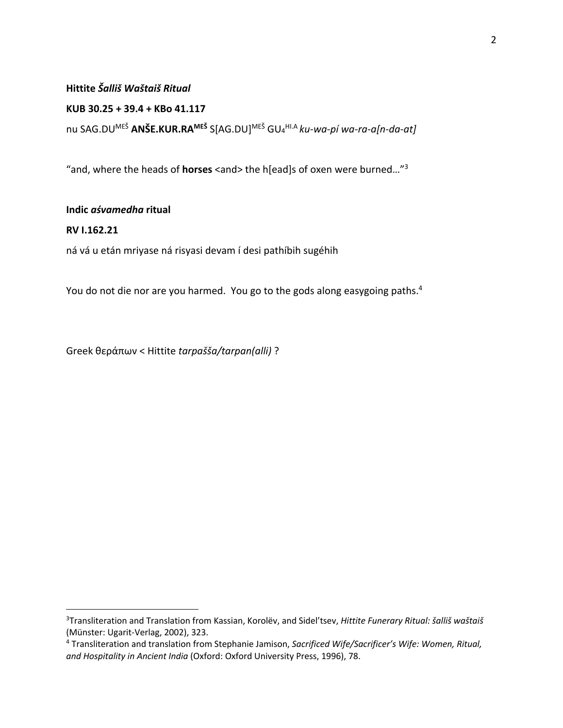## **Hittite** *Šalliš Waštaiš Ritual*

**KUB 30.25 + 39.4 + KBo 41.117**

nu SAG.DUMEŠ **ANŠE.KUR.RAMEŠ** S[AG.DU] MEŠ GU4 HI.A *ku-wa-pí wa-ra-a[n-da-at]*

"and, where the heads of **horses** <and> the h[ead]s of oxen were burned…"3

## **Indic** *aśvamedha* **ritual**

## **RV I.162.21**

ná vá u etán mriyase ná risyasi devam í desi pathíbih sugéhih

You do not die nor are you harmed. You go to the gods along easygoing paths.<sup>4</sup>

Greek θεράπων < Hittite *tarpašša/tarpan(alli)* ?

<sup>3</sup>Transliteration and Translation from Kassian, Korolëv, and Sidel'tsev, *Hittite Funerary Ritual: šalliš waštaiš* (Münster: Ugarit-Verlag, 2002), 323.

<sup>4</sup> Transliteration and translation from Stephanie Jamison, *Sacrificed Wife/Sacrificer's Wife: Women, Ritual, and Hospitality in Ancient India* (Oxford: Oxford University Press, 1996), 78.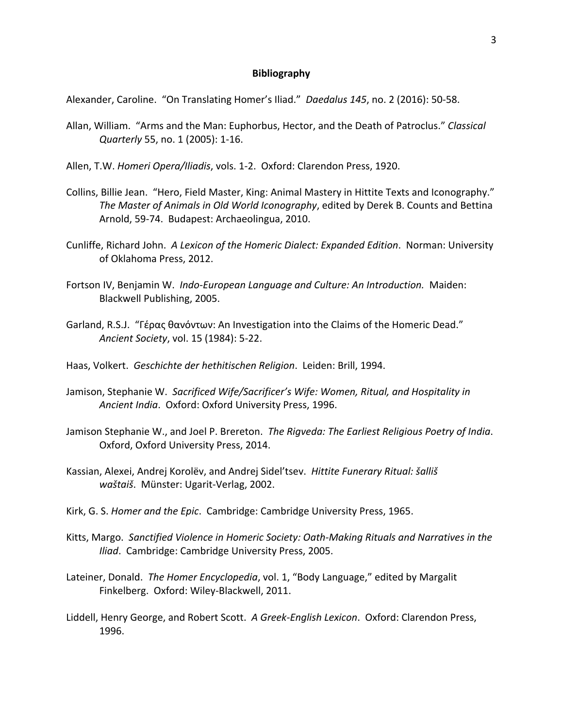#### **Bibliography**

Alexander, Caroline. "On Translating Homer's Iliad." *Daedalus 145*, no. 2 (2016): 50-58.

- Allan, William. "Arms and the Man: Euphorbus, Hector, and the Death of Patroclus." *Classical Quarterly* 55, no. 1 (2005): 1-16.
- Allen, T.W. *Homeri Opera/Iliadis*, vols. 1-2. Oxford: Clarendon Press, 1920.
- Collins, Billie Jean. "Hero, Field Master, King: Animal Mastery in Hittite Texts and Iconography." *The Master of Animals in Old World Iconography*, edited by Derek B. Counts and Bettina Arnold, 59-74. Budapest: Archaeolingua, 2010.
- Cunliffe, Richard John. *A Lexicon of the Homeric Dialect: Expanded Edition*. Norman: University of Oklahoma Press, 2012.
- Fortson IV, Benjamin W. *Indo-European Language and Culture: An Introduction.* Maiden: Blackwell Publishing, 2005.
- Garland, R.S.J. "Γέρας θανόντων: An Investigation into the Claims of the Homeric Dead." *Ancient Society*, vol. 15 (1984): 5-22.
- Haas, Volkert. *Geschichte der hethitischen Religion*. Leiden: Brill, 1994.
- Jamison, Stephanie W. *Sacrificed Wife/Sacrificer's Wife: Women, Ritual, and Hospitality in Ancient India*. Oxford: Oxford University Press, 1996.
- Jamison Stephanie W., and Joel P. Brereton. *The Rigveda: The Earliest Religious Poetry of India*. Oxford, Oxford University Press, 2014.
- Kassian, Alexei, Andrej Korolëv, and Andrej Sidel'tsev. *Hittite Funerary Ritual: šalliš waštaiš*. Münster: Ugarit-Verlag, 2002.
- Kirk, G. S. *Homer and the Epic*. Cambridge: Cambridge University Press, 1965.
- Kitts, Margo. *Sanctified Violence in Homeric Society: Oath-Making Rituals and Narratives in the Iliad*. Cambridge: Cambridge University Press, 2005.
- Lateiner, Donald. *The Homer Encyclopedia*, vol. 1, "Body Language," edited by Margalit Finkelberg. Oxford: Wiley-Blackwell, 2011.
- Liddell, Henry George, and Robert Scott. *A Greek-English Lexicon*. Oxford: Clarendon Press, 1996.